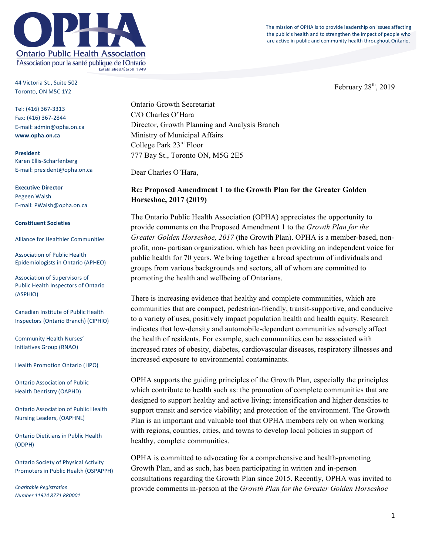

The mission of OPHA is to provide leadership on issues affecting the public's health and to strengthen the impact of people who are active in public and community health throughout Ontario.

February  $28<sup>th</sup>$ , 2019

44 Victoria St., Suite 502 Toronto, ON M5C 1Y2

Tel: (416) 367-3313 Fax: (416) 367-2844 E-mail: admin@opha.on.ca **www.opha.on.ca**

**President** Karen Ellis-Scharfenberg E-mail: president@opha.on.ca

**Executive Director** Pegeen Walsh E-mail: PWalsh@opha.on.ca

#### **Constituent Societies**

Alliance for Healthier Communities

Association of Public Health Epidemiologists in Ontario (APHEO)

Association of Supervisors of Public Health Inspectors of Ontario (ASPHIO)

Canadian Institute of Public Health Inspectors (Ontario Branch) (CIPHIO)

Community Health Nurses' Initiatives Group (RNAO)

Health Promotion Ontario (HPO)

Ontario Association of Public Health Dentistry (OAPHD)

**Ontario Association of Public Health** Nursing Leaders, (OAPHNL)

**Ontario Dietitians in Public Health** (ODPH)

**Ontario Society of Physical Activity** Promoters in Public Health (OSPAPPH)

*Charitable Registration Number 11924 8771 RR0001* Ontario Growth Secretariat C/O Charles O'Hara Director, Growth Planning and Analysis Branch Ministry of Municipal Affairs College Park 23rd Floor 777 Bay St., Toronto ON, M5G 2E5

Dear Charles O'Hara,

## **Re: Proposed Amendment 1 to the Growth Plan for the Greater Golden Horseshoe, 2017 (2019)**

The Ontario Public Health Association (OPHA) appreciates the opportunity to provide comments on the Proposed Amendment 1 to the *Growth Plan for the Greater Golden Horseshoe, 2017* (the Growth Plan). OPHA is a member-based, nonprofit, non- partisan organization, which has been providing an independent voice for public health for 70 years. We bring together a broad spectrum of individuals and groups from various backgrounds and sectors, all of whom are committed to promoting the health and wellbeing of Ontarians.

There is increasing evidence that healthy and complete communities, which are communities that are compact, pedestrian-friendly, transit-supportive, and conducive to a variety of uses, positively impact population health and health equity. Research indicates that low-density and automobile-dependent communities adversely affect the health of residents. For example, such communities can be associated with increased rates of obesity, diabetes, cardiovascular diseases, respiratory illnesses and increased exposure to environmental contaminants.

OPHA supports the guiding principles of the Growth Plan*,* especially the principles which contribute to health such as: the promotion of complete communities that are designed to support healthy and active living; intensification and higher densities to support transit and service viability; and protection of the environment. The Growth Plan is an important and valuable tool that OPHA members rely on when working with regions, counties, cities, and towns to develop local policies in support of healthy, complete communities.

OPHA is committed to advocating for a comprehensive and health-promoting Growth Plan, and as such, has been participating in written and in-person consultations regarding the Growth Plan since 2015. Recently, OPHA was invited to provide comments in-person at the *Growth Plan for the Greater Golden Horseshoe*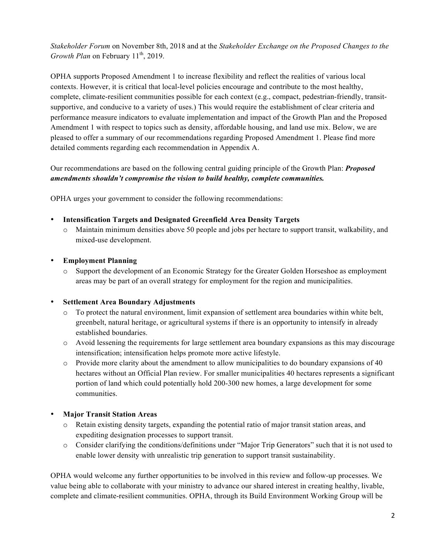*Stakeholder Forum* on November 8th, 2018 and at the *Stakeholder Exchange on the Proposed Changes to the Growth Plan* on February 11<sup>th</sup>, 2019.

OPHA supports Proposed Amendment 1 to increase flexibility and reflect the realities of various local contexts. However, it is critical that local-level policies encourage and contribute to the most healthy, complete, climate-resilient communities possible for each context (e.g., compact, pedestrian-friendly, transitsupportive, and conducive to a variety of uses.) This would require the establishment of clear criteria and performance measure indicators to evaluate implementation and impact of the Growth Plan and the Proposed Amendment 1 with respect to topics such as density, affordable housing, and land use mix. Below, we are pleased to offer a summary of our recommendations regarding Proposed Amendment 1. Please find more detailed comments regarding each recommendation in Appendix A.

Our recommendations are based on the following central guiding principle of the Growth Plan: *Proposed amendments shouldn't compromise the vision to build healthy, complete communities.* 

OPHA urges your government to consider the following recommendations:

- **Intensification Targets and Designated Greenfield Area Density Targets**
	- o Maintain minimum densities above 50 people and jobs per hectare to support transit, walkability, and mixed-use development.
- **Employment Planning**
	- o Support the development of an Economic Strategy for the Greater Golden Horseshoe as employment areas may be part of an overall strategy for employment for the region and municipalities.

## • **Settlement Area Boundary Adjustments**

- o To protect the natural environment, limit expansion of settlement area boundaries within white belt, greenbelt, natural heritage, or agricultural systems if there is an opportunity to intensify in already established boundaries.
- o Avoid lessening the requirements for large settlement area boundary expansions as this may discourage intensification; intensification helps promote more active lifestyle.
- $\circ$  Provide more clarity about the amendment to allow municipalities to do boundary expansions of 40 hectares without an Official Plan review. For smaller municipalities 40 hectares represents a significant portion of land which could potentially hold 200-300 new homes, a large development for some communities.

## • **Major Transit Station Areas**

- o Retain existing density targets, expanding the potential ratio of major transit station areas, and expediting designation processes to support transit.
- o Consider clarifying the conditions/definitions under "Major Trip Generators" such that it is not used to enable lower density with unrealistic trip generation to support transit sustainability.

OPHA would welcome any further opportunities to be involved in this review and follow-up processes. We value being able to collaborate with your ministry to advance our shared interest in creating healthy, livable, complete and climate-resilient communities. OPHA, through its Build Environment Working Group will be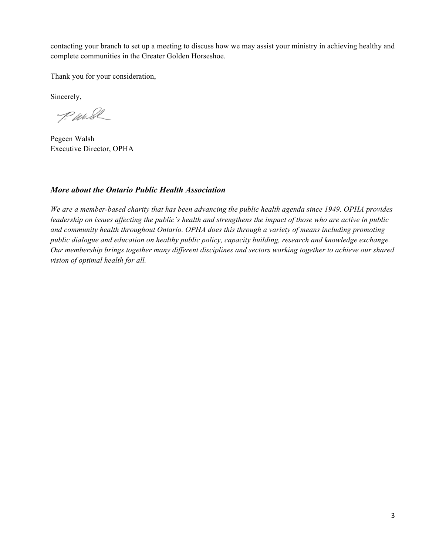contacting your branch to set up a meeting to discuss how we may assist your ministry in achieving healthy and complete communities in the Greater Golden Horseshoe.

Thank you for your consideration,

Sincerely,

P. Wash

Pegeen Walsh Executive Director, OPHA

## *More about the Ontario Public Health Association*

*We are a member-based charity that has been advancing the public health agenda since 1949. OPHA provides leadership on issues affecting the public's health and strengthens the impact of those who are active in public and community health throughout Ontario. OPHA does this through a variety of means including promoting public dialogue and education on healthy public policy, capacity building, research and knowledge exchange. Our membership brings together many different disciplines and sectors working together to achieve our shared vision of optimal health for all.*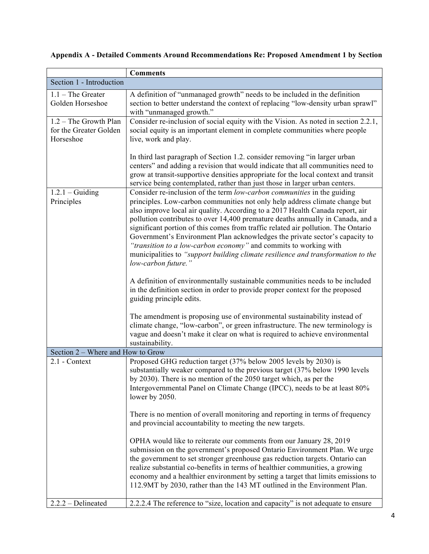|                                                                | <b>Comments</b>                                                                                                                                                                                                                                                                                                                                                                                                                                                                                                                                                                                                                                                                                                                                               |
|----------------------------------------------------------------|---------------------------------------------------------------------------------------------------------------------------------------------------------------------------------------------------------------------------------------------------------------------------------------------------------------------------------------------------------------------------------------------------------------------------------------------------------------------------------------------------------------------------------------------------------------------------------------------------------------------------------------------------------------------------------------------------------------------------------------------------------------|
| Section 1 - Introduction                                       |                                                                                                                                                                                                                                                                                                                                                                                                                                                                                                                                                                                                                                                                                                                                                               |
| $1.1$ – The Greater<br>Golden Horseshoe                        | A definition of "unmanaged growth" needs to be included in the definition<br>section to better understand the context of replacing "low-density urban sprawl"<br>with "unmanaged growth."                                                                                                                                                                                                                                                                                                                                                                                                                                                                                                                                                                     |
| $1.2$ – The Growth Plan<br>for the Greater Golden<br>Horseshoe | Consider re-inclusion of social equity with the Vision. As noted in section 2.2.1,<br>social equity is an important element in complete communities where people<br>live, work and play.                                                                                                                                                                                                                                                                                                                                                                                                                                                                                                                                                                      |
|                                                                | In third last paragraph of Section 1.2. consider removing "in larger urban<br>centers" and adding a revision that would indicate that all communities need to<br>grow at transit-supportive densities appropriate for the local context and transit<br>service being contemplated, rather than just those in larger urban centers.                                                                                                                                                                                                                                                                                                                                                                                                                            |
| $1.2.1 -$ Guiding<br>Principles                                | Consider re-inclusion of the term low-carbon communities in the guiding<br>principles. Low-carbon communities not only help address climate change but<br>also improve local air quality. According to a 2017 Health Canada report, air<br>pollution contributes to over 14,400 premature deaths annually in Canada, and a<br>significant portion of this comes from traffic related air pollution. The Ontario<br>Government's Environment Plan acknowledges the private sector's capacity to<br>"transition to a low-carbon economy" and commits to working with<br>municipalities to "support building climate resilience and transformation to the<br>low-carbon future."<br>A definition of environmentally sustainable communities needs to be included |
|                                                                | in the definition section in order to provide proper context for the proposed<br>guiding principle edits.                                                                                                                                                                                                                                                                                                                                                                                                                                                                                                                                                                                                                                                     |
|                                                                | The amendment is proposing use of environmental sustainability instead of<br>climate change, "low-carbon", or green infrastructure. The new terminology is<br>vague and doesn't make it clear on what is required to achieve environmental<br>sustainability.                                                                                                                                                                                                                                                                                                                                                                                                                                                                                                 |
| Section 2 – Where and How to Grow                              |                                                                                                                                                                                                                                                                                                                                                                                                                                                                                                                                                                                                                                                                                                                                                               |
| 2.1 - Context                                                  | Proposed GHG reduction target (37% below 2005 levels by 2030) is<br>substantially weaker compared to the previous target (37% below 1990 levels<br>by 2030). There is no mention of the 2050 target which, as per the<br>Intergovernmental Panel on Climate Change (IPCC), needs to be at least 80%<br>lower by 2050.                                                                                                                                                                                                                                                                                                                                                                                                                                         |
|                                                                | There is no mention of overall monitoring and reporting in terms of frequency<br>and provincial accountability to meeting the new targets.                                                                                                                                                                                                                                                                                                                                                                                                                                                                                                                                                                                                                    |
|                                                                | OPHA would like to reiterate our comments from our January 28, 2019<br>submission on the government's proposed Ontario Environment Plan. We urge<br>the government to set stronger greenhouse gas reduction targets. Ontario can<br>realize substantial co-benefits in terms of healthier communities, a growing<br>economy and a healthier environment by setting a target that limits emissions to<br>112.9MT by 2030, rather than the 143 MT outlined in the Environment Plan.                                                                                                                                                                                                                                                                             |
| $2.2.2 - Delineated$                                           | 2.2.2.4 The reference to "size, location and capacity" is not adequate to ensure                                                                                                                                                                                                                                                                                                                                                                                                                                                                                                                                                                                                                                                                              |

# **Appendix A - Detailed Comments Around Recommendations Re: Proposed Amendment 1 by Section**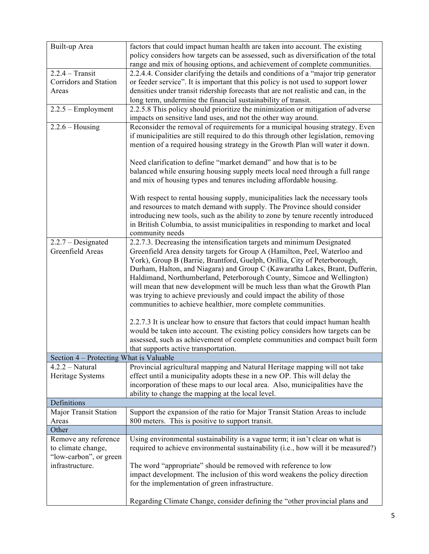| Built-up Area                           | factors that could impact human health are taken into account. The existing         |
|-----------------------------------------|-------------------------------------------------------------------------------------|
|                                         | policy considers how targets can be assessed, such as diversification of the total  |
|                                         | range and mix of housing options, and achievement of complete communities.          |
| $2.2.4 - Transit$                       | 2.2.4.4. Consider clarifying the details and conditions of a "major trip generator" |
| Corridors and Station                   | or feeder service". It is important that this policy is not used to support lower   |
| Areas                                   | densities under transit ridership forecasts that are not realistic and can, in the  |
|                                         | long term, undermine the financial sustainability of transit.                       |
| $2.2.5 - Employment$                    | 2.2.5.8 This policy should prioritize the minimization or mitigation of adverse     |
|                                         | impacts on sensitive land uses, and not the other way around.                       |
| $2.2.6 - Housing$                       | Reconsider the removal of requirements for a municipal housing strategy. Even       |
|                                         | if municipalities are still required to do this through other legislation, removing |
|                                         | mention of a required housing strategy in the Growth Plan will water it down.       |
|                                         |                                                                                     |
|                                         | Need clarification to define "market demand" and how that is to be                  |
|                                         | balanced while ensuring housing supply meets local need through a full range        |
|                                         | and mix of housing types and tenures including affordable housing.                  |
|                                         |                                                                                     |
|                                         | With respect to rental housing supply, municipalities lack the necessary tools      |
|                                         | and resources to match demand with supply. The Province should consider             |
|                                         | introducing new tools, such as the ability to zone by tenure recently introduced    |
|                                         | in British Columbia, to assist municipalities in responding to market and local     |
|                                         | community needs                                                                     |
| $2.2.7 - Designated$                    | 2.2.7.3. Decreasing the intensification targets and minimum Designated              |
| Greenfield Areas                        | Greenfield Area density targets for Group A (Hamilton, Peel, Waterloo and           |
|                                         | York), Group B (Barrie, Brantford, Guelph, Orillia, City of Peterborough,           |
|                                         | Durham, Halton, and Niagara) and Group C (Kawaratha Lakes, Brant, Dufferin,         |
|                                         | Haldimand, Northumberland, Peterborough County, Simcoe and Wellington)              |
|                                         | will mean that new development will be much less than what the Growth Plan          |
|                                         | was trying to achieve previously and could impact the ability of those              |
|                                         |                                                                                     |
|                                         | communities to achieve healthier, more complete communities.                        |
|                                         | 2.2.7.3 It is unclear how to ensure that factors that could impact human health     |
|                                         | would be taken into account. The existing policy considers how targets can be       |
|                                         |                                                                                     |
|                                         | assessed, such as achievement of complete communities and compact built form        |
|                                         | that supports active transportation.                                                |
| Section 4 – Protecting What is Valuable |                                                                                     |
| $4.2.2 - Natural$                       | Provincial agricultural mapping and Natural Heritage mapping will not take          |
| Heritage Systems                        | effect until a municipality adopts these in a new OP. This will delay the           |
|                                         | incorporation of these maps to our local area. Also, municipalities have the        |
|                                         | ability to change the mapping at the local level.                                   |
| Definitions                             |                                                                                     |
| <b>Major Transit Station</b>            | Support the expansion of the ratio for Major Transit Station Areas to include       |
| Areas                                   | 800 meters. This is positive to support transit.                                    |
| Other                                   |                                                                                     |
| Remove any reference                    | Using environmental sustainability is a vague term; it isn't clear on what is       |
| to climate change,                      | required to achieve environmental sustainability (i.e., how will it be measured?)   |
| "low-carbon", or green                  |                                                                                     |
| infrastructure.                         | The word "appropriate" should be removed with reference to low                      |
|                                         | impact development. The inclusion of this word weakens the policy direction         |
|                                         | for the implementation of green infrastructure.                                     |
|                                         |                                                                                     |
|                                         | Regarding Climate Change, consider defining the "other provincial plans and         |